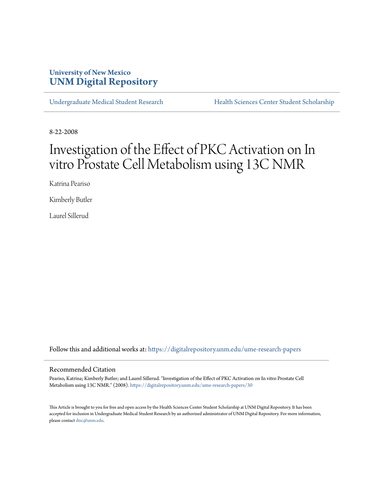### **University of New Mexico [UNM Digital Repository](https://digitalrepository.unm.edu?utm_source=digitalrepository.unm.edu%2Fume-research-papers%2F30&utm_medium=PDF&utm_campaign=PDFCoverPages)**

[Undergraduate Medical Student Research](https://digitalrepository.unm.edu/ume-research-papers?utm_source=digitalrepository.unm.edu%2Fume-research-papers%2F30&utm_medium=PDF&utm_campaign=PDFCoverPages) [Health Sciences Center Student Scholarship](https://digitalrepository.unm.edu/hsc-students?utm_source=digitalrepository.unm.edu%2Fume-research-papers%2F30&utm_medium=PDF&utm_campaign=PDFCoverPages)

8-22-2008

# Investigation of the Effect of PKC Activation on In vitro Prostate Cell Metabolism using 13C NMR

Katrina Peariso

Kimberly Butler

Laurel Sillerud

Follow this and additional works at: [https://digitalrepository.unm.edu/ume-research-papers](https://digitalrepository.unm.edu/ume-research-papers?utm_source=digitalrepository.unm.edu%2Fume-research-papers%2F30&utm_medium=PDF&utm_campaign=PDFCoverPages)

#### Recommended Citation

Peariso, Katrina; Kimberly Butler; and Laurel Sillerud. "Investigation of the Effect of PKC Activation on In vitro Prostate Cell Metabolism using 13C NMR." (2008). [https://digitalrepository.unm.edu/ume-research-papers/30](https://digitalrepository.unm.edu/ume-research-papers/30?utm_source=digitalrepository.unm.edu%2Fume-research-papers%2F30&utm_medium=PDF&utm_campaign=PDFCoverPages)

This Article is brought to you for free and open access by the Health Sciences Center Student Scholarship at UNM Digital Repository. It has been accepted for inclusion in Undergraduate Medical Student Research by an authorized administrator of UNM Digital Repository. For more information, please contact [disc@unm.edu.](mailto:disc@unm.edu)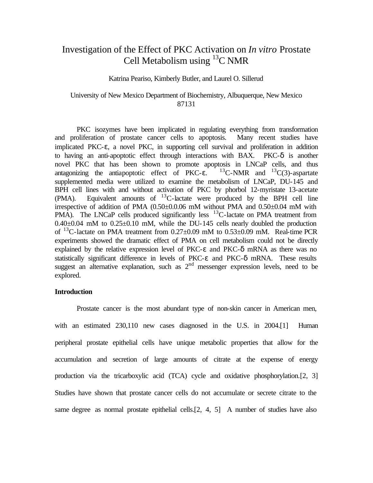## Investigation of the Effect of PKC Activation on *In vitro* Prostate Cell Metabolism using  ${}^{13}C$  NMR

#### Katrina Peariso, Kimberly Butler, and Laurel O. Sillerud

#### University of New Mexico Department of Biochemistry, Albuquerque, New Mexico 87131

PKC isozymes have been implicated in regulating everything from transformation and proliferation of prostate cancer cells to apoptosis. Many recent studies have implicated PKC- $\varepsilon$ , a novel PKC, in supporting cell survival and proliferation in addition to having an anti-apoptotic effect through interactions with BAX. PKC-δ is another novel PKC that has been shown to promote apoptosis in LNCaP cells, and thus antagonizing the antiapoptotic effect of PKC-ε.  $^{13}$ C-NMR and  $^{13}$ C(3)-aspartate supplemented media were utilized to examine the metabolism of LNCaP, DU-145 and BPH cell lines with and without activation of PKC by phorbol 12-myristate 13-acetate (PMA). Equivalent amounts of  $^{13}$ C-lactate were produced by the BPH cell line irrespective of addition of PMA (0.50±0.0.06 mM without PMA and 0.50±0.04 mM with PMA). The LNCaP cells produced significantly less  $^{13}$ C-lactate on PMA treatment from  $0.40\pm0.04$  mM to  $0.25\pm0.10$  mM, while the DU-145 cells nearly doubled the production of <sup>13</sup>C-lactate on PMA treatment from  $0.27 \pm 0.09$  mM to  $0.53 \pm 0.09$  mM. Real-time PCR experiments showed the dramatic effect of PMA on cell metabolism could not be directly explained by the relative expression level of PKC- $\varepsilon$  and PKC- $\delta$  mRNA as there was no statistically significant difference in levels of PKC-ε and PKC-δ mRNA. These results suggest an alternative explanation, such as  $2<sup>nd</sup>$  messenger expression levels, need to be explored.

#### **Introduction**

Prostate cancer is the most abundant type of non-skin cancer in American men, with an estimated 230,110 new cases diagnosed in the U.S. in 2004.<sup>[1]</sup> Human peripheral prostate epithelial cells have unique metabolic properties that allow for the accumulation and secretion of large amounts of citrate at the expense of energy production via the tricarboxylic acid (TCA) cycle and oxidative phosphorylation.[2, 3] Studies have shown that prostate cancer cells do not accumulate or secrete citrate to the same degree as normal prostate epithelial cells.[2, 4, 5] A number of studies have also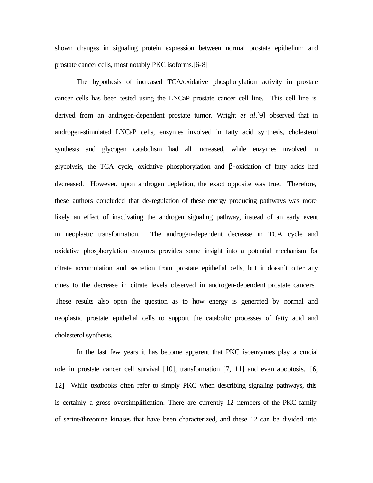shown changes in signaling protein expression between normal prostate epithelium and prostate cancer cells, most notably PKC isoforms.[6-8]

The hypothesis of increased TCA/oxidative phosphorylation activity in prostate cancer cells has been tested using the LNCaP prostate cancer cell line. This cell line is derived from an androgen-dependent prostate tumor. Wright *et al*.[9] observed that in androgen-stimulated LNCaP cells, enzymes involved in fatty acid synthesis, cholesterol synthesis and glycogen catabolism had all increased, while enzymes involved in glycolysis, the TCA cycle, oxidative phosphorylation and β-oxidation of fatty acids had decreased. However, upon androgen depletion, the exact opposite was true. Therefore, these authors concluded that de-regulation of these energy producing pathways was more likely an effect of inactivating the androgen signaling pathway, instead of an early event in neoplastic transformation. The androgen-dependent decrease in TCA cycle and oxidative phosphorylation enzymes provides some insight into a potential mechanism for citrate accumulation and secretion from prostate epithelial cells, but it doesn't offer any clues to the decrease in citrate levels observed in androgen-dependent prostate cancers. These results also open the question as to how energy is generated by normal and neoplastic prostate epithelial cells to support the catabolic processes of fatty acid and cholesterol synthesis.

In the last few years it has become apparent that PKC isoenzymes play a crucial role in prostate cancer cell survival [10], transformation [7, 11] and even apoptosis. [6, 12] While textbooks often refer to simply PKC when describing signaling pathways, this is certainly a gross oversimplification. There are currently 12 members of the PKC family of serine/threonine kinases that have been characterized, and these 12 can be divided into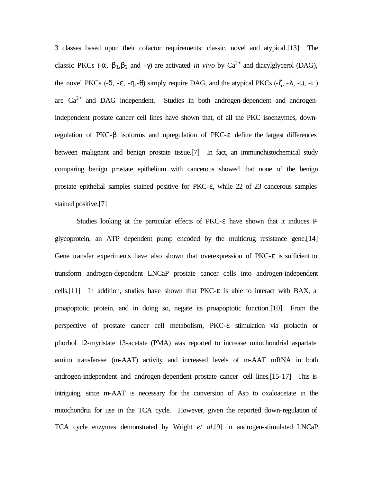3 classes based upon their cofactor requirements: classic, novel and atypical.[13] The classic PKCs  $(-\alpha, \beta_1, \beta_2 \text{ and } -\gamma)$  are activated *in vivo* by Ca<sup>2+</sup> and diacylglycerol (DAG), the novel PKCs (-δ, -ε, -η,-θ) simply require DAG, and the atypical PKCs (-ζ, -λ, -μ, -ι) are  $Ca^{2+}$  and DAG independent. Studies in both androgen-dependent and androgenindependent prostate cancer cell lines have shown that, of all the PKC isoenzymes, downregulation of PKC-β isoforms and upregulation of PKC-ε define the largest differences between malignant and benign prostate tissue.[7] In fact, an immunohistochemical study comparing benign prostate epithelium with cancerous showed that none of the benign prostate epithelial samples stained positive for PKC-ε, while 22 of 23 cancerous samples stained positive.[7]

Studies looking at the particular effects of PKC-ε have shown that it induces Pglycoprotein, an ATP dependent pump encoded by the multidrug resistance gene.[14] Gene transfer experiments have also shown that overexpression of PKC-ε is sufficient to transform androgen-dependent LNCaP prostate cancer cells into androgen-independent cells.<sup>[11]</sup> In addition, studies have shown that  $PKC-\varepsilon$  is able to interact with BAX, a proapoptotic protein, and in doing so, negate its proapoptotic function.[10] From the perspective of prostate cancer cell metabolism, PKC-ε stimulation via prolactin or phorbol 12-myristate 13-acetate (PMA) was reported to increase mitochondrial aspartate amino transferase (m-AAT) activity and increased levels of m-AAT mRNA in both androgen-independent and androgen-dependent prostate cancer cell lines.[15-17] This is intriguing, since m-AAT is necessary for the conversion of Asp to oxaloacetate in the mitochondria for use in the TCA cycle. However, given the reported down-regulation of TCA cycle enzymes demonstrated by Wright *et al*.[9] in androgen-stimulated LNCaP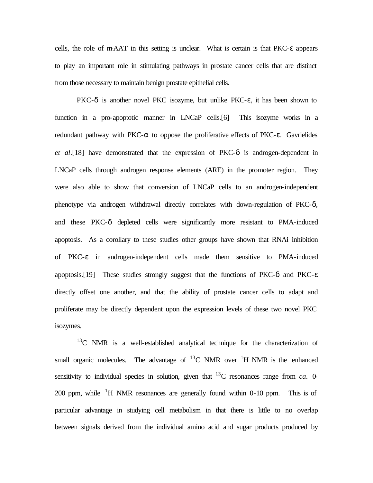cells, the role of m-AAT in this setting is unclear. What is certain is that PKC-ε appears to play an important role in stimulating pathways in prostate cancer cells that are distinct from those necessary to maintain benign prostate epithelial cells.

PKC-δ is another novel PKC isozyme, but unlike PKC-ε, it has been shown to function in a pro-apoptotic manner in LNCaP cells.[6] This isozyme works in a redundant pathway with PKC-α to oppose the proliferative effects of PKC-ε. Gavrielides *et al.*[18] have demonstrated that the expression of  $PKC-\delta$  is androgen-dependent in LNCaP cells through androgen response elements (ARE) in the promoter region. They were also able to show that conversion of LNCaP cells to an androgen-independent phenotype via androgen withdrawal directly correlates with down-regulation of  $PKC-\delta$ , and these PKC-δ depleted cells were significantly more resistant to PMA-induced apoptosis. As a corollary to these studies other groups have shown that RNAi inhibition of PKC-ε in androgen-independent cells made them sensitive to PMA-induced apoptosis.[19] These studies strongly suggest that the functions of PKC-δ and PKC-ε directly offset one another, and that the ability of prostate cancer cells to adapt and proliferate may be directly dependent upon the expression levels of these two novel PKC isozymes.

 $13<sup>C</sup>$  NMR is a well-established analytical technique for the characterization of small organic molecules. The advantage of  ${}^{13}$ C NMR over <sup>1</sup>H NMR is the enhanced sensitivity to individual species in solution, given that  $^{13}$ C resonances range from *ca*. 0-200 ppm, while  ${}^{1}H$  NMR resonances are generally found within 0-10 ppm. This is of particular advantage in studying cell metabolism in that there is little to no overlap between signals derived from the individual amino acid and sugar products produced by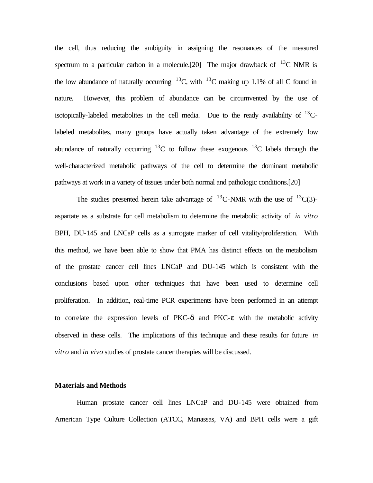the cell, thus reducing the ambiguity in assigning the resonances of the measured spectrum to a particular carbon in a molecule.[20] The major drawback of  $^{13}$ C NMR is the low abundance of naturally occurring  $^{13}$ C, with  $^{13}$ C making up 1.1% of all C found in nature. However, this problem of abundance can be circumvented by the use of isotopically-labeled metabolites in the cell media. Due to the ready availability of  $^{13}$ Clabeled metabolites, many groups have actually taken advantage of the extremely low abundance of naturally occurring  $^{13}$ C to follow these exogenous  $^{13}$ C labels through the well-characterized metabolic pathways of the cell to determine the dominant metabolic pathways at work in a variety of tissues under both normal and pathologic conditions.[20]

The studies presented herein take advantage of  ${}^{13}$ C-NMR with the use of  ${}^{13}C(3)$ aspartate as a substrate for cell metabolism to determine the metabolic activity of *in vitro* BPH, DU-145 and LNCaP cells as a surrogate marker of cell vitality/proliferation. With this method, we have been able to show that PMA has distinct effects on the metabolism of the prostate cancer cell lines LNCaP and DU-145 which is consistent with the conclusions based upon other techniques that have been used to determine cell proliferation. In addition, real-time PCR experiments have been performed in an attempt to correlate the expression levels of PKC- $\delta$  and PKC- $\varepsilon$  with the metabolic activity observed in these cells. The implications of this technique and these results for future *in vitro* and *in vivo* studies of prostate cancer therapies will be discussed.

#### **Materials and Methods**

Human prostate cancer cell lines LNCaP and DU-145 were obtained from American Type Culture Collection (ATCC, Manassas, VA) and BPH cells were a gift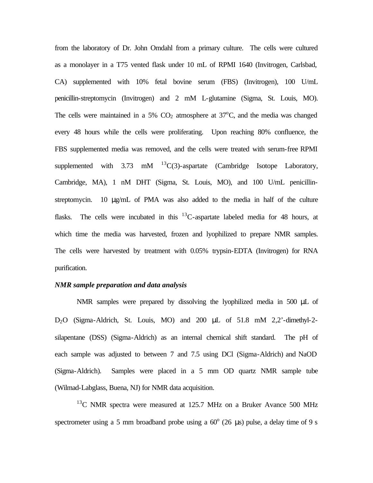from the laboratory of Dr. John Omdahl from a primary culture. The cells were cultured as a monolayer in a T75 vented flask under 10 mL of RPMI 1640 (Invitrogen, Carlsbad, CA) supplemented with 10% fetal bovine serum (FBS) (Invitrogen), 100 U/mL penicillin-streptomycin (Invitrogen) and 2 mM L-glutamine (Sigma, St. Louis, MO). The cells were maintained in a 5%  $CO<sub>2</sub>$  atmosphere at 37<sup>o</sup>C, and the media was changed every 48 hours while the cells were proliferating. Upon reaching 80% confluence, the FBS supplemented media was removed, and the cells were treated with serum-free RPMI supplemented with  $3.73$  mM  $^{13}C(3)$ -aspartate (Cambridge Isotope Laboratory, Cambridge, MA), 1 nM DHT (Sigma, St. Louis, MO), and 100 U/mL penicillinstreptomycin. 10 μg/mL of PMA was also added to the media in half of the culture flasks. The cells were incubated in this  $^{13}$ C-aspartate labeled media for 48 hours, at which time the media was harvested, frozen and lyophilized to prepare NMR samples. The cells were harvested by treatment with 0.05% trypsin-EDTA (Invitrogen) for RNA purification.

#### *NMR sample preparation and data analysis*

NMR samples were prepared by dissolving the lyophilized media in 500 μL of D2O (Sigma-Aldrich, St. Louis, MO) and 200 μL of 51.8 mM 2,2'-dimethyl-2 silapentane (DSS) (Sigma-Aldrich) as an internal chemical shift standard. The pH of each sample was adjusted to between 7 and 7.5 using DCl (Sigma-Aldrich) and NaOD (Sigma-Aldrich). Samples were placed in a 5 mm OD quartz NMR sample tube (Wilmad-Labglass, Buena, NJ) for NMR data acquisition.

 $13^{\circ}$ C NMR spectra were measured at 125.7 MHz on a Bruker Avance 500 MHz spectrometer using a 5 mm broadband probe using a  $60^{\circ}$  (26 µs) pulse, a delay time of 9 s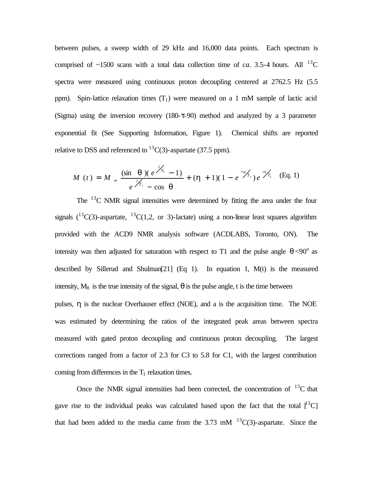between pulses, a sweep width of 29 kHz and 16,000 data points. Each spectrum is comprised of  $\sim$ 1500 scans with a total data collection time of *ca*. 3.5-4 hours. All <sup>13</sup>C spectra were measured using continuous proton decoupling centered at 2762.5 Hz (5.5 ppm). Spin-lattice relaxation times  $(T_1)$  were measured on a 1 mM sample of lactic acid (Sigma) using the inversion recovery (180-τ-90) method and analyzed by a 3 parameter exponential fit (See Supporting Information, Figure 1). Chemical shifts are reported relative to DSS and referenced to  ${}^{13}C(3)$ -aspartate (37.5 ppm).

$$
M(t) = M \approx \frac{(\sin \mathbf{q})(e^{\frac{t}{T_1}} - 1)}{e^{\frac{t}{T_1}} - \cos \mathbf{q}} + (\mathbf{h} + 1)(1 - e^{-a_{1/2}})e^{-t/2}.
$$
 (Eq. 1)

The  $13^{\circ}$ C NMR signal intensities were determined by fitting the area under the four signals  $(^{13}C(3)$ -aspartate,  $^{13}C(1,2,$  or 3)-lactate) using a non-linear least squares algorithm provided with the ACD9 NMR analysis software (ACDLABS, Toronto, ON). The intensity was then adjusted for saturation with respect to T1 and the pulse angle  $\theta$  <90° as described by Sillerud and Shulman<sup>[21]</sup> (Eq 1). In equation 1,  $M(t)$  is the measured intensity,  $M_8$  is the true intensity of the signal,  $\theta$  is the pulse angle, t is the time between pulses, η is the nuclear Overhauser effect (NOE), and a is the acquisition time. The NOE was estimated by determining the ratios of the integrated peak areas between spectra measured with gated proton decoupling and continuous proton decoupling. The largest corrections ranged from a factor of 2.3 for C3 to 5.8 for C1, with the largest contribution coming from differences in the  $T_1$  relaxation times.

Once the NMR signal intensities had been corrected, the concentration of  $^{13}$ C that gave rise to the individual peaks was calculated based upon the fact that the total  $\mathbf{I}^{13}$ C that had been added to the media came from the 3.73 mM  $^{13}C(3)$ -aspartate. Since the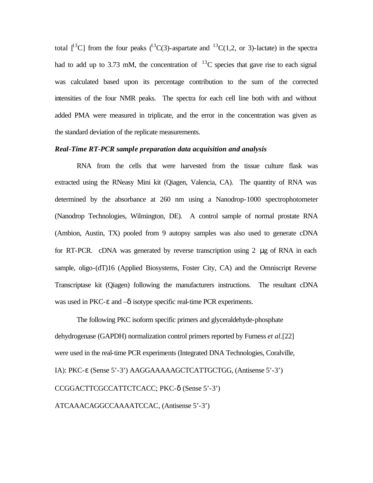total  $[13C]$  from the four peaks  $(13C)(3)$ -aspartate and  $[13C(1,2, \text{ or } 3)]$ -lactate) in the spectra had to add up to 3.73 mM, the concentration of  $^{13}$ C species that gave rise to each signal was calculated based upon its percentage contribution to the sum of the corrected intensities of the four NMR peaks. The spectra for each cell line both with and without added PMA were measured in triplicate, and the error in the concentration was given as the standard deviation of the replicate measurements.

#### *Real-Time RT-PCR sample preparation data acquisition and analysis*

RNA from the cells that were harvested from the tissue culture flask was extracted using the RNeasy Mini kit (Qiagen, Valencia, CA). The quantity of RNA was determined by the absorbance at 260 nm using a Nanodrop-1000 spectrophotometer (Nanodrop Technologies, Wilmington, DE). A control sample of normal prostate RNA (Ambion, Austin, TX) pooled from 9 autopsy samples was also used to generate cDNA for RT-PCR. cDNA was generated by reverse transcription using 2 μg of RNA in each sample, oligo-(dT)16 (Applied Biosystems, Foster City, CA) and the Omniscript Reverse Transcriptase kit (Qiagen) following the manufacturers instructions. The resultant cDNA was used in PKC- $\varepsilon$  and  $-\delta$  isotype specific real-time PCR experiments.

The following PKC isoform specific primers and glyceraldehyde-phosphate dehydrogenase (GAPDH) normalization control primers reported by Furness *et al*.[22] were used in the real-time PCR experiments (Integrated DNA Technologies, Coralville, IA): PKC-ε (Sense 5'-3') AAGGAAAAAGCTCATTGCTGG, (Antisense 5'-3') CCGGACTTCGCCATTCTCACC; PKC-δ (Sense 5'-3') ATCAAACAGGCCAAAATCCAC, (Antisense 5'-3')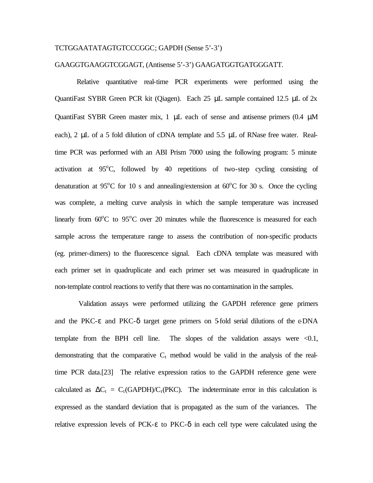#### TCTGGAATATAGTGTCCCGGC; GAPDH (Sense 5'-3')

#### GAAGGTGAAGGTCGGAGT, (Antisense 5'-3') GAAGATGGTGATGGGATT.

Relative quantitative real-time PCR experiments were performed using the QuantiFast SYBR Green PCR kit (Qiagen). Each 25 μL sample contained 12.5 μL of 2x QuantiFast SYBR Green master mix, 1 μL each of sense and antisense primers (0.4 μM each), 2 μL of a 5 fold dilution of cDNA template and 5.5 μL of RNase free water. Realtime PCR was performed with an ABI Prism 7000 using the following program: 5 minute activation at  $95^{\circ}$ C, followed by 40 repetitions of two-step cycling consisting of denaturation at 95<sup>o</sup>C for 10 s and annealing/extension at  $60^{\circ}$ C for 30 s. Once the cycling was complete, a melting curve analysis in which the sample temperature was increased linearly from  $60^{\circ}$ C to  $95^{\circ}$ C over 20 minutes while the fluorescence is measured for each sample across the temperature range to assess the contribution of non-specific products (eg. primer-dimers) to the fluorescence signal. Each cDNA template was measured with each primer set in quadruplicate and each primer set was measured in quadruplicate in non-template control reactions to verify that there was no contamination in the samples.

 Validation assays were performed utilizing the GAPDH reference gene primers and the PKC- $\varepsilon$  and PKC- $\delta$  target gene primers on 5-fold serial dilutions of the  $\varepsilon$ DNA template from the BPH cell line. The slopes of the validation assays were  $\leq 0.1$ , demonstrating that the comparative  $C_t$  method would be valid in the analysis of the realtime PCR data.[23] The relative expression ratios to the GAPDH reference gene were calculated as  $\Delta C_t = C_t(GAPDH)/C_t(PKC)$ . The indeterminate error in this calculation is expressed as the standard deviation that is propagated as the sum of the variances. The relative expression levels of PCK- $\epsilon$  to PKC- $\delta$  in each cell type were calculated using the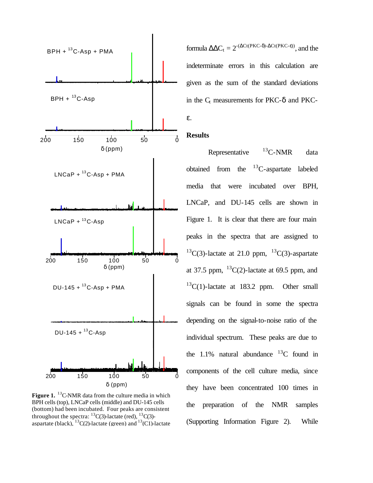

Figure 1. <sup>13</sup>C-NMR data from the culture media in which BPH cells (top), LNCaP cells (middle) and DU-145 cells (bottom) had been incubated. Four peaks are consistent throughout the spectra:  ${}^{13}C(3)$ -lactate (red),  ${}^{13}C(3)$ aspartate (black),  ${}^{13}C(2)$ -lactate (green) and  ${}^{13}C(1)$ -lactate

formula  $\Delta \Delta C_t = 2^{-(\Delta Ct(PKC-\delta)-\Delta Ct(PKC-\epsilon))}$ , and the indeterminate errors in this calculation are given as the sum of the standard deviations in the  $C_t$  measurements for PKC- $\delta$  and PKCε.

#### **Results**

Representative  $^{13}$ C-NMR data obtained from the  ${}^{13}$ C-aspartate labeled media that were incubated over BPH, LNCaP, and DU-145 cells are shown in Figure 1. It is clear that there are four main peaks in the spectra that are assigned to  ${}^{13}C(3)$ -lactate at 21.0 ppm,  ${}^{13}C(3)$ -aspartate at 37.5 ppm,  $^{13}C(2)$ -lactate at 69.5 ppm, and  $^{13}C(1)$ -lactate at 183.2 ppm. Other small signals can be found in some the spectra depending on the signal-to-noise ratio of the individual spectrum. These peaks are due to the 1.1% natural abundance  $^{13}$ C found in components of the cell culture media, since they have been concentrated 100 times in the preparation of the NMR samples (Supporting Information Figure 2). While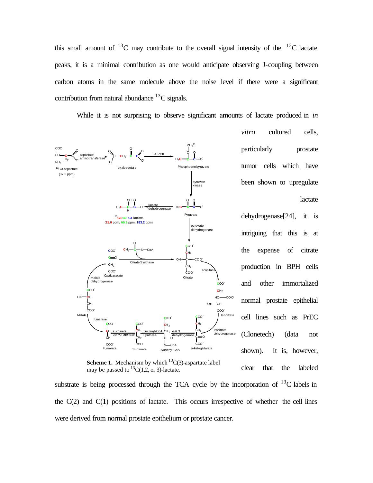this small amount of  $^{13}$ C may contribute to the overall signal intensity of the  $^{13}$ C lactate peaks, it is a minimal contribution as one would anticipate observing J-coupling between carbon atoms in the same molecule above the noise level if there were a significant contribution from natural abundance  ${}^{13}C$  signals.

While it is not surprising to observe significant amounts of lactate produced in *in* 



**Scheme 1.** Mechanism by which  $13C(3)$ -aspartate label may be passed to  ${}^{13}C(1,2,$  or 3)-lactate.

*vitro* cultured cells, particularly prostate tumor cells which have been shown to upregulate lactate

dehydrogenase[24], it is intriguing that this is at the expense of citrate production in BPH cells and other immortalized normal prostate epithelial cell lines such as PrEC (Clonetech) (data not shown). It is, however, clear that the labeled

substrate is being processed through the TCA cycle by the incorporation of  $^{13}$ C labels in the  $C(2)$  and  $C(1)$  positions of lactate. This occurs irrespective of whether the cell lines were derived from normal prostate epithelium or prostate cancer.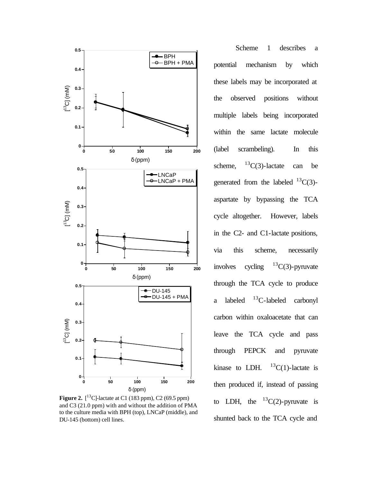

**Figure 2.**  $[^{13}C]$ -lactate at C1 (183 ppm), C2 (69.5 ppm) and C3 (21.0 ppm) with and without the addition of PMA to the culture media with BPH (top), LNCaP (middle), and DU-145 (bottom) cell lines.

Scheme 1 describes a potential mechanism by which these labels may be incorporated at the observed positions without multiple labels being incorporated within the same lactate molecule (label scrambeling). In this scheme,  $^{13}C(3)$ -lactate can be generated from the labeled  ${}^{13}C(3)$ aspartate by bypassing the TCA cycle altogether. However, labels in the C2- and C1-lactate positions, via this scheme, necessarily involves cycling  $^{13}C(3)$ -pyruvate through the TCA cycle to produce a labeled  $^{13}$ C-labeled carbonyl carbon within oxaloacetate that can leave the TCA cycle and pass through PEPCK and pyruvate kinase to LDH.  $^{13}C(1)$ -lactate is then produced if, instead of passing to LDH, the  ${}^{13}C(2)$ -pyruvate is shunted back to the TCA cycle and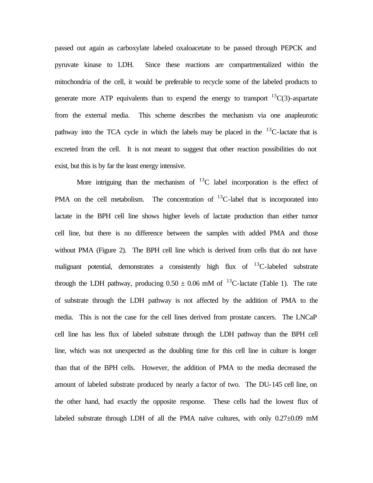passed out again as carboxylate labeled oxaloacetate to be passed through PEPCK and pyruvate kinase to LDH. Since these reactions are compartmentalized within the mitochondria of the cell, it would be preferable to recycle some of the labeled products to generate more ATP equivalents than to expend the energy to transport  ${}^{13}C(3)$ -aspartate from the external media. This scheme describes the mechanism via one anapleurotic pathway into the TCA cycle in which the labels may be placed in the  $^{13}$ C-lactate that is excreted from the cell. It is not meant to suggest that other reaction possibilities do not exist, but this is by far the least energy intensive.

More intriguing than the mechanism of  $^{13}$ C label incorporation is the effect of PMA on the cell metabolism. The concentration of  ${}^{13}C$ -label that is incorporated into lactate in the BPH cell line shows higher levels of lactate production than either tumor cell line, but there is no difference between the samples with added PMA and those without PMA (Figure 2). The BPH cell line which is derived from cells that do not have malignant potential, demonstrates a consistently high flux of  $^{13}$ C-labeled substrate through the LDH pathway, producing  $0.50 \pm 0.06$  mM of <sup>13</sup>C-lactate (Table 1). The rate of substrate through the LDH pathway is not affected by the addition of PMA to the media. This is not the case for the cell lines derived from prostate cancers. The LNCaP cell line has less flux of labeled substrate through the LDH pathway than the BPH cell line, which was not unexpected as the doubling time for this cell line in culture is longer than that of the BPH cells. However, the addition of PMA to the media decreased the amount of labeled substrate produced by nearly a factor of two. The DU-145 cell line, on the other hand, had exactly the opposite response. These cells had the lowest flux of labeled substrate through LDH of all the PMA naïve cultures, with only  $0.27\pm0.09$  mM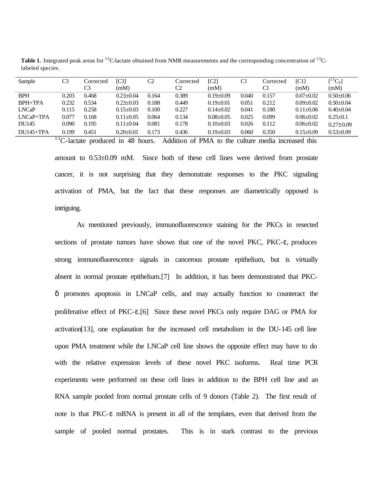| Sample         | C3    | Corrected | IC31            | C <sub>2</sub> | Corrected | $\lbrack C2\rbrack$ | C1    | Corrected | [C1]            | $\left[\begin{smallmatrix}13\\end{smallmatrix}C_T\right]$ |
|----------------|-------|-----------|-----------------|----------------|-----------|---------------------|-------|-----------|-----------------|-----------------------------------------------------------|
|                |       | C3        | (mM)            |                | C2        | (mM)                |       | C1        | (mM)            | (mM)                                                      |
| <b>BPH</b>     | 0.203 | 0.468     | $0.23 + 0.04$   | 0.164          | 0.389     | $0.19 + 0.09$       | 0.040 | 0.157     | $0.07+0.02$     | $0.50+0.06$                                               |
| <b>BPH+TPA</b> | 0.232 | 0.534     | $0.23 + 0.03$   | 0.188          | 0.449     | $0.19+0.01$         | 0.051 | 0.212     | $0.09 \pm 0.02$ | $0.50+0.04$                                               |
| <b>LNCaP</b>   | 0.115 | 0.258     | $0.15 \pm 0.03$ | 0.100          | 0.227     | $0.14 + 0.02$       | 0.041 | 0.180     | $0.11 + 0.06$   | $0.40 + 0.04$                                             |
| $LNCaP+TPA$    | 0.077 | 0.168     | $0.11 \pm 0.05$ | 0.064          | 0.134     | $0.08 + 0.05$       | 0.025 | 0.099     | $0.06 + 0.02$   | $0.25 + 0.1$                                              |
| DU145          | 0.090 | 0.195     | $0.11 + 0.04$   | 0.081          | 0.178     | $0.10+0.03$         | 0.026 | 0.112     | $0.06 + 0.02$   | $0.27+0.09$                                               |
| $DIJ145+TPA$   | 0.199 | 0.451     | $0.20 + 0.01$   | 0.173          | 0.436     | $0.19 + 0.03$       | 0.060 | 0.350     | $0.15 \pm 0.09$ | $0.53+0.09$                                               |

Table 1. Integrated peak areas for <sup>13</sup>C-lactate obtained from NMR measurements and the corresponding concentration of <sup>13</sup>Clabeled species.

 $13^1$ C-lactate produced in 48 hours. Addition of PMA to the culture media increased this amount to 0.53±0.09 mM. Since both of these cell lines were derived from prostate cancer, it is not surprising that they demonstrate responses to the PKC signaling activation of PMA, but the fact that these responses are diametrically opposed is intriguing.

As mentioned previously, immunofluorescence staining for the PKCs in resected sections of prostate tumors have shown that one of the novel PKC, PKC-ε, produces strong immunofluorescence signals in cancerous prostate epithelium, but is virtually absent in normal prostate epithelium.[7] In addition, it has been demonstrated that PKCδ promotes apoptosis in LNCaP cells, and may actually function to counteract the proliferative effect of PKC-ε.[6] Since these novel PKCs only require DAG or PMA for activation[13], one explanation for the increased cell metabolism in the DU-145 cell line upon PMA treatment while the LNCaP cell line shows the opposite effect may have to do with the relative expression levels of these novel PKC isoforms. Real time PCR experiments were performed on these cell lines in addition to the BPH cell line and an RNA sample pooled from normal prostate cells of 9 donors (Table 2). The first result of note is that PKC-ε mRNA is present in all of the templates, even that derived from the sample of pooled normal prostates. This is in stark contrast to the previous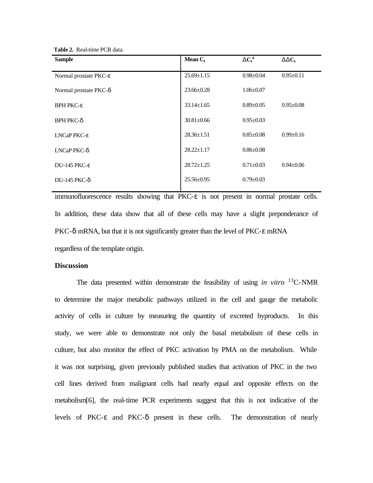**Table 2.** Real-time PCR data.

| <b>Sample</b>                           | Mean $C_t$       | $DC_t^a$        | $DDC_t$         |
|-----------------------------------------|------------------|-----------------|-----------------|
| Normal prostate PKC-ε                   | $25.69 \pm 1.15$ | $0.98 \pm 0.04$ | $0.95 \pm 0.11$ |
| Normal prostate PKC- $\delta$           | $23.66 + 0.28$   | $1.06 \pm 0.07$ |                 |
| <b>BPH PKC-<math>\varepsilon</math></b> | $33.14 \pm 1.65$ | $0.89 \pm 0.05$ | $0.95 \pm 0.08$ |
| <b>BPH PKC-δ</b>                        | $30.81 + 0.66$   | $0.95 \pm 0.03$ |                 |
| LNCaP PKC- $\varepsilon$                | $28.36 \pm 1.51$ | $0.85 \pm 0.08$ | $0.99 \pm 0.16$ |
| $LNCa$ P PKC- $\delta$                  | $28.22 \pm 1.17$ | $0.86 \pm 0.08$ |                 |
| DU-145 PKC- $\varepsilon$               | $28.72 + 1.25$   | $0.71 + 0.03$   | $0.94 \pm 0.06$ |
| DU-145 PKC- $\delta$                    | $25.56 \pm 0.95$ | $0.79 \pm 0.03$ |                 |

immunofluorescence results showing that PKC-ε is not present in normal prostate cells. In addition, these data show that all of these cells may have a slight preponderance of PKC-δ mRNA, but that it is not significantly greater than the level of PKC-ε mRNA regardless of the template origin.

#### **Discussion**

The data presented within demonstrate the feasibility of using *in vitro* <sup>13</sup>C-NMR to determine the major metabolic pathways utilized in the cell and gauge the metabolic activity of cells in culture by measuring the quantity of excreted byproducts. In this study, we were able to demonstrate not only the basal metabolism of these cells in culture, but also monitor the effect of PKC activation by PMA on the metabolism. While it was not surprising, given previously published studies that activation of PKC in the two cell lines derived from malignant cells had nearly equal and opposite effects on the metabolism[6], the real-time PCR experiments suggest that this is not indicative of the levels of PKC-ε and PKC-δ present in these cells. The demonstration of nearly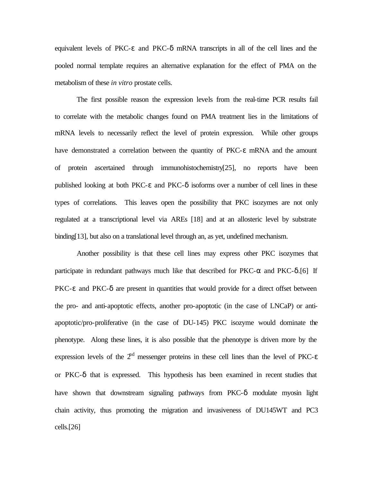equivalent levels of PKC-ε and PKC-δ mRNA transcripts in all of the cell lines and the pooled normal template requires an alternative explanation for the effect of PMA on the metabolism of these *in vitro* prostate cells.

The first possible reason the expression levels from the real-time PCR results fail to correlate with the metabolic changes found on PMA treatment lies in the limitations of mRNA levels to necessarily reflect the level of protein expression. While other groups have demonstrated a correlation between the quantity of PKC-ε mRNA and the amount of protein ascertained through immunohistochemistry[25], no reports have been published looking at both PKC- $\varepsilon$  and PKC- $\delta$  isoforms over a number of cell lines in these types of correlations. This leaves open the possibility that PKC isozymes are not only regulated at a transcriptional level via AREs [18] and at an allosteric level by substrate binding[13], but also on a translational level through an, as yet, undefined mechanism.

Another possibility is that these cell lines may express other PKC isozymes that participate in redundant pathways much like that described for  $PKC-\alpha$  and  $PKC-\delta$ . [6] If PKC-ε and PKC-δ are present in quantities that would provide for a direct offset between the pro- and anti-apoptotic effects, another pro-apoptotic (in the case of LNCaP) or antiapoptotic/pro-proliferative (in the case of DU-145) PKC isozyme would dominate the phenotype. Along these lines, it is also possible that the phenotype is driven more by the expression levels of the  $2<sup>nd</sup>$  messenger proteins in these cell lines than the level of PKC- $\varepsilon$ or PKC-δ that is expressed. This hypothesis has been examined in recent studies that have shown that downstream signaling pathways from PKC-δ modulate myosin light chain activity, thus promoting the migration and invasiveness of DU145WT and PC3 cells.[26]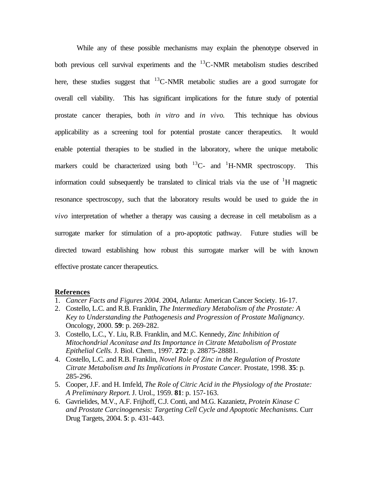While any of these possible mechanisms may explain the phenotype observed in both previous cell survival experiments and the  ${}^{13}$ C-NMR metabolism studies described here, these studies suggest that  $^{13}$ C-NMR metabolic studies are a good surrogate for overall cell viability. This has significant implications for the future study of potential prostate cancer therapies, both *in vitro* and *in vivo*. This technique has obvious applicability as a screening tool for potential prostate cancer therapeutics. It would enable potential therapies to be studied in the laboratory, where the unique metabolic markers could be characterized using both  ${}^{13}C$ - and  ${}^{1}H$ -NMR spectroscopy. This information could subsequently be translated to clinical trials via the use of  $\rm{^1H}$  magnetic resonance spectroscopy, such that the laboratory results would be used to guide the *in vivo* interpretation of whether a therapy was causing a decrease in cell metabolism as a surrogate marker for stimulation of a pro-apoptotic pathway. Future studies will be directed toward establishing how robust this surrogate marker will be with known effective prostate cancer therapeutics.

#### **References**

- 1. *Cancer Facts and Figures 2004*. 2004, Atlanta: American Cancer Society. 16-17.
- 2. Costello, L.C. and R.B. Franklin, *The Intermediary Metabolism of the Prostate: A Key to Understanding the Pathogenesis and Progression of Prostate Malignancy.* Oncology, 2000. **59**: p. 269-282.
- 3. Costello, L.C., Y. Liu, R.B. Franklin, and M.C. Kennedy, *Zinc Inhibition of Mitochondrial Aconitase and Its Importance in Citrate Metabolism of Prostate Epithelial Cells.* J. Biol. Chem., 1997. **272**: p. 28875-28881.
- 4. Costello, L.C. and R.B. Franklin, *Novel Role of Zinc in the Regulation of Prostate Citrate Metabolism and Its Implications in Prostate Cancer.* Prostate, 1998. **35**: p. 285-296.
- 5. Cooper, J.F. and H. Imfeld, *The Role of Citric Acid in the Physiology of the Prostate: A Preliminary Report.* J. Urol., 1959. **81**: p. 157-163.
- 6. Gavrielides, M.V., A.F. Frijhoff, C.J. Conti, and M.G. Kazanietz, *Protein Kinase C and Prostate Carcinogenesis: Targeting Cell Cycle and Apoptotic Mechanisms.* Curr Drug Targets, 2004. **5**: p. 431-443.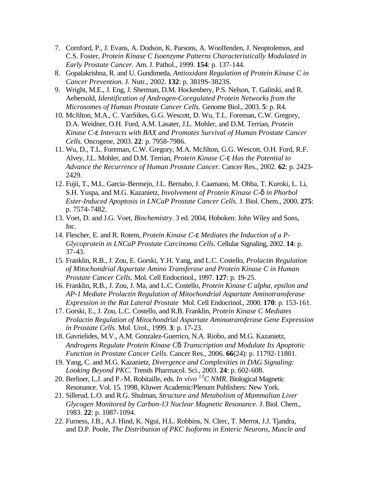- 7. Cornford, P., J. Evans, A. Dodson, K. Parsons, A. Woolfenden, J. Neoptolemos, and C.S. Foster, *Protein Kinase C Isoenzyme Patterns Characteristically Modulated in Early Prostate Cancer.* Am. J. Pathol., 1999. **154**: p. 137-144.
- 8. Gopalakrishna, R. and U. Gundimeda, *Antioxidant Regulation of Protein Kinase C in Cancer Prevention.* J. Nutr., 2002. **132**: p. 3819S-3823S.
- 9. Wright, M.E., J. Eng, J. Sherman, D.M. Hockenbery, P.S. Nelson, T. Galitski, and R. Aebersold, *Identification of Androgen-Coregulated Protein Networks from the Microsomes of Human Prostate Cancer Cells.* Genome Biol., 2003. **5**: p. R4.
- 10. McJilton, M.A., C. VanSikes, G.G. Wescott, D. Wu, T.L. Foreman, C.W. Gregory, D.A. Weidner, O.H. Ford, A.M. Lasater, J.L. Mohler, and D.M. Terrian, *Protein Kinase C-e Interacts with BAX and Promotes Survival of Human Prostate Cancer Cells.* Oncogene, 2003. **22**: p. 7958-7986.
- 11. Wu, D., T.L. Foreman, C.W. Gregory, M.A. McJilton, G.G. Wescott, O.H. Ford, R.F. Alvey, J.L. Mohler, and D.M. Terrian, *Protein Kinase C-e Has the Potential to Advance the Recurrence of Human Prostate Cancer.* Cancer Res., 2002. **62**: p. 2423- 2429.
- 12. Fujii, T., M.L. Garcia-Bermejo, J.L. Bernabo, J. Caamano, M. Ohba, T. Kuroki, L. Li, S.H. Yuspa, and M.G. Kazanietz, *Involvement of Protein Kinase C-d in Phorbol Ester-Induced Apoptosis in LNCaP Prostate Cancer Cells.* J. Biol. Chem., 2000. **275**: p. 7574-7482.
- 13. Voet, D. and J.G. Voet, *Biochemistry*. 3 ed. 2004, Hoboken: John Wiley and Sons, Inc.
- 14. Flescher, E. and R. Rotem, *Protein Kinase C-e Mediates the Induction of a P-Glycoprotein in LNCaP Prostate Carcinoma Cells.* Cellular Signaling, 2002. **14**: p. 37-43.
- 15. Franklin, R.B., J. Zou, E. Gorski, Y.H. Yang, and L.C. Costello, *Prolactin Regulation of Mitochondrial Aspartate Amino Transferase and Protein Kinase C in Human Prostate Cancer Cells.* Mol. Cell Endocrinol., 1997. **127**: p. 19-25.
- 16. Franklin, R.B., J. Zou, J. Ma, and L.C. Costello, *Protein Kinase C alpha, epsilon and AP-1 Mediate Prolactin Regulation of Mitochondrial Aspartate Aminotransferase Expression in the Rat Lateral Prostate* Mol. Cell Endocrinol., 2000. **170**: p. 153-161.
- 17. Gorski, E., J. Zou, L.C. Costello, and R.B. Franklin, *Protein Kinase C Mediates Prolactin Regulation of Mitochondrial Aspartate Aminotransferase Gene Expression in Prostate Cells.* Mol. Urol., 1999. **3**: p. 17-23.
- 18. Gavrielides, M.V., A.M. Gonzalez-Guerrico, N.A. Riobo, and M.G. Kazanietz, *Androgens Regulate Protein Kinase Cd Transcription and Modulate Its Apoptotic Function in Prostate Cancer Cells.* Cancer Res., 2006. **66**(24): p. 11792-11801.
- 19. Yang, C. and M.G. Kazanietz, *Divergence and Complexities in DAG Signaling: Looking Beyond PKC.* Trends Pharmacol. Sci., 2003. **24**: p. 602-608.
- 20. Berliner, L.J. and P.-M. Robitaille, eds. *In vivo <sup>13</sup>C NMR*. Biological Magnetic Resonance. Vol. 15. 1998, Kluwer Academic/Plenum Publishers: New York.
- 21. Sillerud, L.O. and R.G. Shulman, *Structure and Metabolism of Mammalian Liver Glycogen Monitored by Carbon-13 Nuclear Magnetic Resonance.* J. Biol. Chem., 1983. **22**: p. 1087-1094.
- 22. Furness, J.B., A.J. Hind, K. Ngui, H.L. Robbins, N. Clerc, T. Merrot, J.J. Tjandra, and D.P. Poole, *The Distribution of PKC Isoforms in Enteric Neurons, Muscle and*